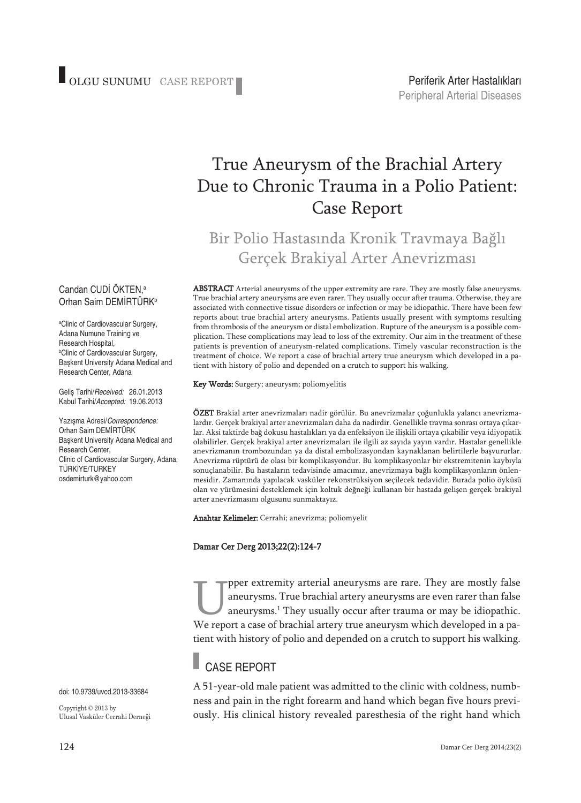# True Aneurysm of the Brachial Artery Due to Chronic Trauma in a Polio Patient: Case Report

## Bir Polio Hastasında Kronik Travmaya Bağlı Gerçek Brakiyal Arter Anevrizması

ABSTRACT Arterial aneurysms of the upper extremity are rare. They are mostly false aneurysms. True brachial artery aneurysms are even rarer. They usually occur after trauma. Otherwise, they are associated with connective tissue disorders or infection or may be idiopathic. There have been few reports about true brachial artery aneurysms. Patients usually present with symptoms resulting from thrombosis of the aneurysm or distal embolization. Rupture of the aneurysm is a possible complication. These complications may lead to loss of the extremity. Our aim in the treatment of these patients is prevention of aneurysm-related complications. Timely vascular reconstruction is the treatment of choice. We report a case of brachial artery true aneurysm which developed in a patient with history of polio and depended on a crutch to support his walking.

Key Words: Surgery; aneurysm; poliomyelitis

ÖZET Brakial arter anevrizmaları nadir görülür. Bu anevrizmalar çoğunlukla yalancı anevrizmalardır. Gerçek brakiyal arter anevrizmaları daha da nadirdir. Genellikle travma sonrası ortaya çıkarlar. Aksi taktirde bağ dokusu hastalıkları ya da enfeksiyon ile ilişkili ortaya çıkabilir veya idiyopatik olabilirler. Gerçek brakiyal arter anevrizmaları ile ilgili az sayıda yayın vardır. Hastalar genellikle anevrizmanın trombozundan ya da distal embolizasyondan kaynaklanan belirtilerle başvururlar. Anevrizma rüptürü de olası bir komplikasyondur. Bu komplikasyonlar bir ekstremitenin kaybıyla sonuçlanabilir. Bu hastaların tedavisinde amacımız, anevrizmaya bağlı komplikasyonların önlenmesidir. Zamanında yapılacak vasküler rekonstrüksiyon seçilecek tedavidir. Burada polio öyküsü olan ve yürümesini desteklemek için koltuk değneği kullanan bir hastada gelişen gerçek brakiyal arter anevrizmasını olgusunu sunmaktayız.

Anahtar Kelimeler: Cerrahi; anevrizma; poliomyelit

#### Damar Cer Derg 2013;22(2):124-7

They are mostly false<br>aneurysms. True brachial artery aneurysms are even rarer than false<br>aneurysms.<sup>1</sup> They usually occur after trauma or may be idiopathic.<br>We report a case of brachial artery true aneurysm which develope aneurysms. True brachial artery aneurysms are even rarer than false aneurysms. <sup>1</sup> They usually occur after trauma or may be idiopathic. We report a case of brachial artery true aneurysm which developed in a patient with history of polio and depended on a crutch to support his walking.

## CASE REPORT

A 51-year-old male patient was admitted to the clinic with coldness, numbness and pain in the right forearm and hand which began five hours previously. His clinical history revealed paresthesia of the right hand which

#### Candan CUDI OKTEN,<sup>a</sup> Orhan Saim DEMİRTÜRK<sup>b</sup>

a Clinic of Cardiovascular Surgery, Adana Numune Training ve Research Hospital, b Clinic of Cardiovascular Surgery, Başkent University Adana Medical and Research Center, Adana

Geliş Tarihi/*Received:* 26.01.2013 Kabul Tarihi/*Accepted:* 19.06.2013

Yazışma Adresi/*Correspondence:* Orhan Saim DEMİRTÜRK Başkent University Adana Medical and Research Center, Clinic of Cardiovascular Surgery, Adana, TÜRKİYE/TURKEY osdemirturk@yahoo.com

doi: 10.9739/uvcd.2013-33684

Copyright © 2013 by Ulusal Vasküler Cerrahi Derneği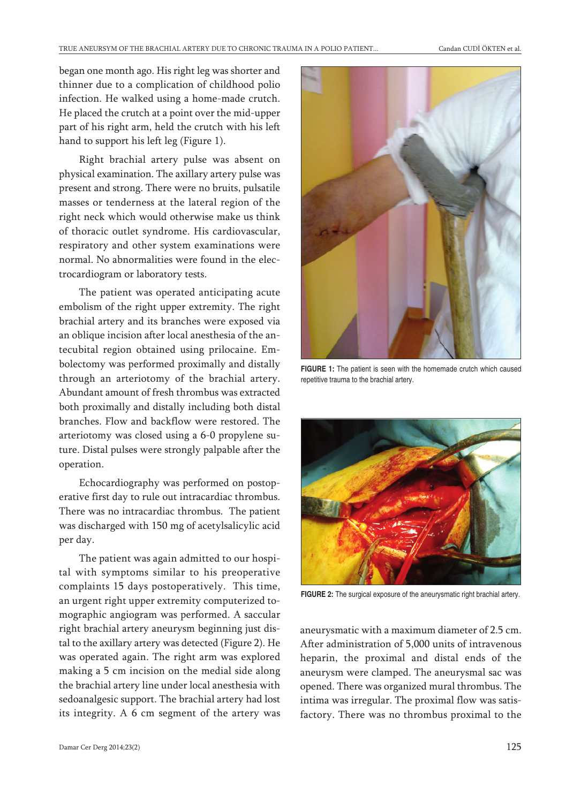began one month ago. His right leg was shorter and thinner due to a complication of childhood polio infection. He walked using a home-made crutch. He placed the crutch at a point over the mid-upper part of his right arm, held the crutch with his left hand to support his left leg (Figure 1).

Right brachial artery pulse was absent on physical examination. The axillary artery pulse was present and strong. There were no bruits, pulsatile masses or tenderness at the lateral region of the right neck which would otherwise make us think of thoracic outlet syndrome. His cardiovascular, respiratory and other system examinations were normal. No abnormalities were found in the electrocardiogram or laboratory tests.

The patient was operated anticipating acute embolism of the right upper extremity. The right brachial artery and its branches were exposed via an oblique incision after local anesthesia of the antecubital region obtained using prilocaine. Embolectomy was performed proximally and distally through an arteriotomy of the brachial artery. Abundant amount of fresh thrombus was extracted both proximally and distally including both distal branches. Flow and backflow were restored. The arteriotomy was closed using a 6-0 propylene suture. Distal pulses were strongly palpable after the operation.

Echocardiography was performed on postoperative first day to rule out intracardiac thrombus. There was no intracardiac thrombus. The patient was discharged with 150 mg of acetylsalicylic acid per day.

The patient was again admitted to our hospital with symptoms similar to his preoperative complaints 15 days postoperatively. This time, an urgent right upper extremity computerized tomographic angiogram was performed. A saccular right brachial artery aneurysm beginning just distal to the axillary artery was detected (Figure 2). He was operated again. The right arm was explored making a 5 cm incision on the medial side along the brachial artery line under local anesthesia with sedoanalgesic support. The brachial artery had lost its integrity. A 6 cm segment of the artery was



**FIGURE 1:** The patient is seen with the homemade crutch which caused repetitive trauma to the brachial artery.



**FIGURE 2:** The surgical exposure of the aneurysmatic right brachial artery.

aneurysmatic with a maximum diameter of 2.5 cm. After administration of 5,000 units of intravenous heparin, the proximal and distal ends of the aneurysm were clamped. The aneurysmal sac was opened. There was organized mural thrombus. The intima was irregular. The proximal flow was satisfactory. There was no thrombus proximal to the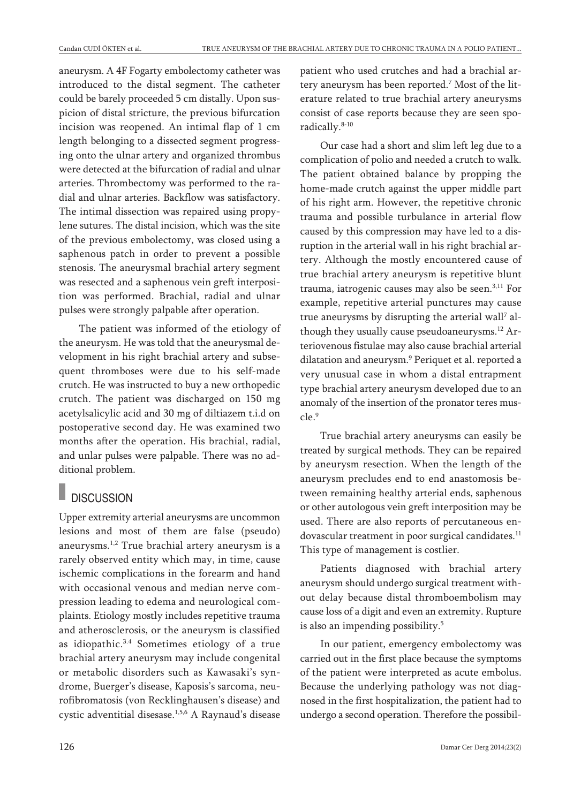aneurysm. A 4F Fogarty embolectomy catheter was introduced to the distal segment. The catheter could be barely proceeded 5 cm distally. Upon suspicion of distal stricture, the previous bifurcation incision was reopened. An intimal flap of 1 cm length belonging to a dissected segment progressing onto the ulnar artery and organized thrombus were detected at the bifurcation of radial and ulnar arteries. Thrombectomy was performed to the radial and ulnar arteries. Backflow was satisfactory. The intimal dissection was repaired using propylene sutures. The distal incision, which was the site of the previous embolectomy, was closed using a saphenous patch in order to prevent a possible stenosis. The aneurysmal brachial artery segment was resected and a saphenous vein greft interposition was performed. Brachial, radial and ulnar pulses were strongly palpable after operation.

The patient was informed of the etiology of the aneurysm. He was told that the aneurysmal development in his right brachial artery and subsequent thromboses were due to his self-made crutch. He was instructed to buy a new orthopedic crutch. The patient was discharged on 150 mg acetylsalicylic acid and 30 mg of diltiazem t.i.d on postoperative second day. He was examined two months after the operation. His brachial, radial, and unlar pulses were palpable. There was no additional problem.

## **DISCUSSION**

Upper extremity arterial aneurysms are uncommon lesions and most of them are false (pseudo) aneurysms. 1,2 True brachial artery aneurysm is a rarely observed entity which may, in time, cause ischemic complications in the forearm and hand with occasional venous and median nerve compression leading to edema and neurological complaints. Etiology mostly includes repetitive trauma and atherosclerosis, or the aneurysm is classified as idiopathic. 3.4 Sometimes etiology of a true brachial artery aneurysm may include congenital or metabolic disorders such as Kawasaki's syndrome, Buerger's disease, Kaposis's sarcoma, neurofibromatosis (von Recklinghausen's disease) and cystic adventitial disesase.<sup>1,5,6</sup> A Raynaud's disease

patient who used crutches and had a brachial artery aneurysm has been reported. <sup>7</sup> Most of the literature related to true brachial artery aneurysms consist of case reports because they are seen sporadically. 8-10

Our case had a short and slim left leg due to a complication of polio and needed a crutch to walk. The patient obtained balance by propping the home-made crutch against the upper middle part of his right arm. However, the repetitive chronic trauma and possible turbulance in arterial flow caused by this compression may have led to a disruption in the arterial wall in his right brachial artery. Although the mostly encountered cause of true brachial artery aneurysm is repetitive blunt trauma, iatrogenic causes may also be seen. 3,11 For example, repetitive arterial punctures may cause true aneurysms by disrupting the arterial wall <sup>7</sup> although they usually cause pseudoaneurysms. <sup>12</sup> Arteriovenous fistulae may also cause brachial arterial dilatation and aneurysm. <sup>9</sup> Periquet et al. reported a very unusual case in whom a distal entrapment type brachial artery aneurysm developed due to an anomaly of the insertion of the pronator teres muscle. 9

True brachial artery aneurysms can easily be treated by surgical methods. They can be repaired by aneurysm resection. When the length of the aneurysm precludes end to end anastomosis between remaining healthy arterial ends, saphenous or other autologous vein greft interposition may be used. There are also reports of percutaneous endovascular treatment in poor surgical candidates. 11 This type of management is costlier.

Patients diagnosed with brachial artery aneurysm should undergo surgical treatment without delay because distal thromboembolism may cause loss of a digit and even an extremity. Rupture is also an impending possibility. 5

In our patient, emergency embolectomy was carried out in the first place because the symptoms of the patient were interpreted as acute embolus. Because the underlying pathology was not diagnosed in the first hospitalization, the patient had to undergo a second operation. Therefore the possibil